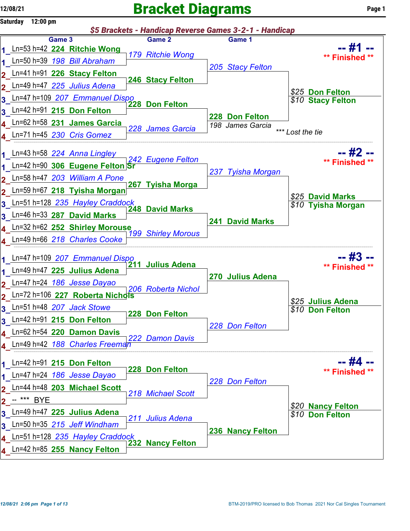## $12/08/21$  Page 1

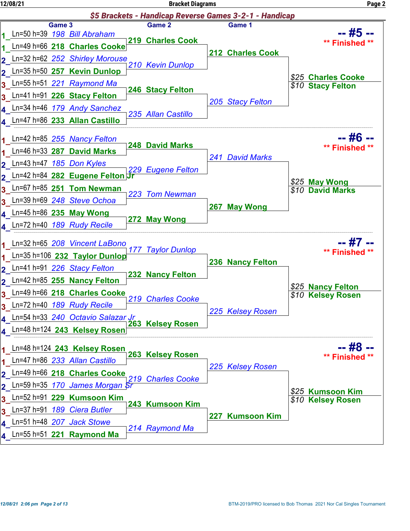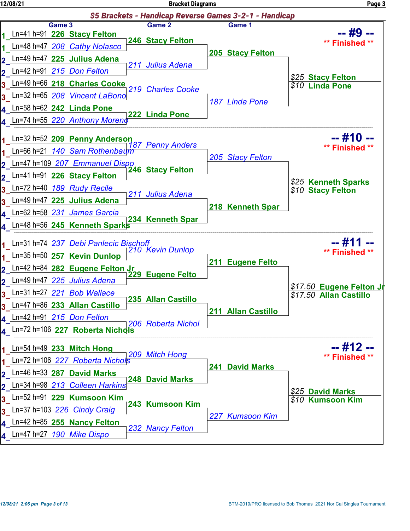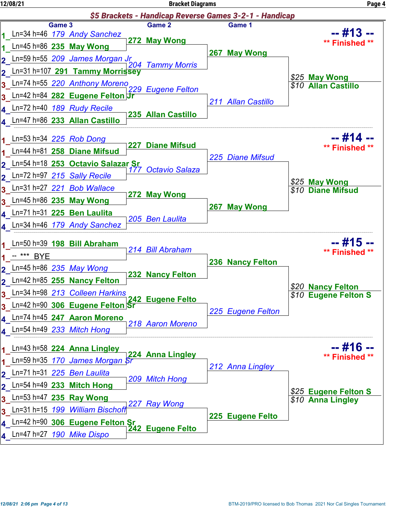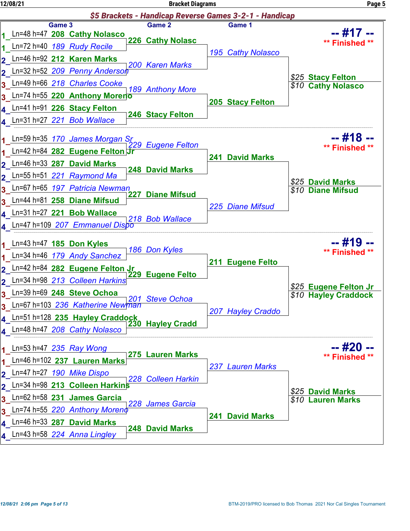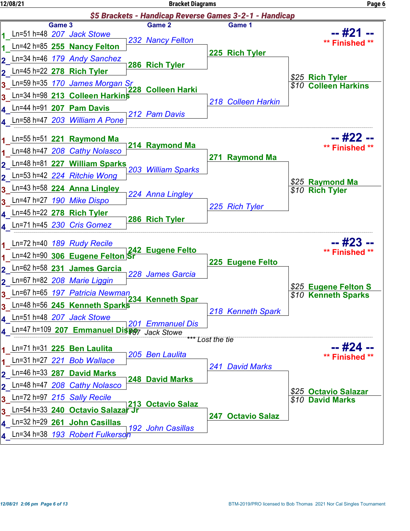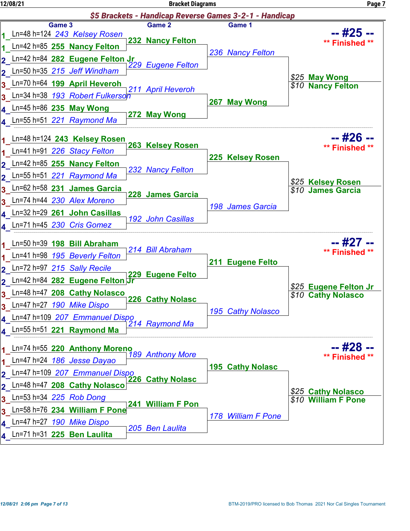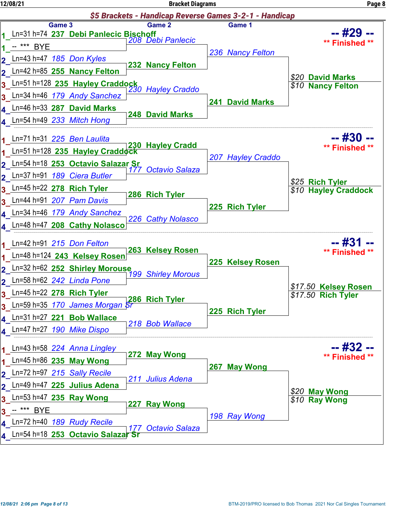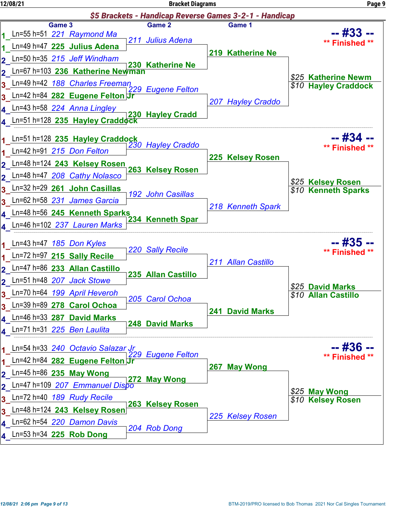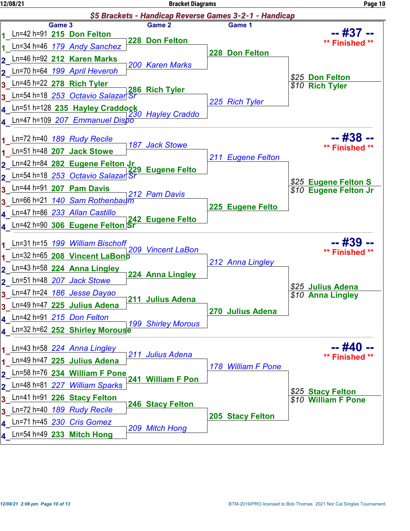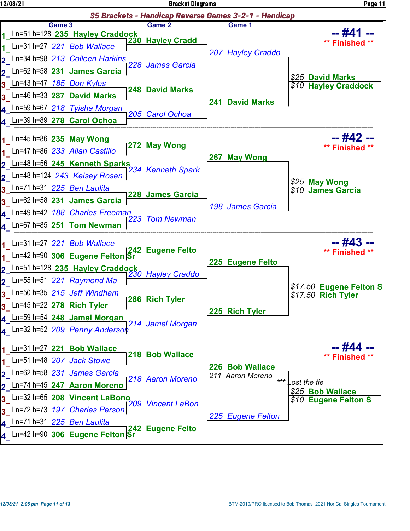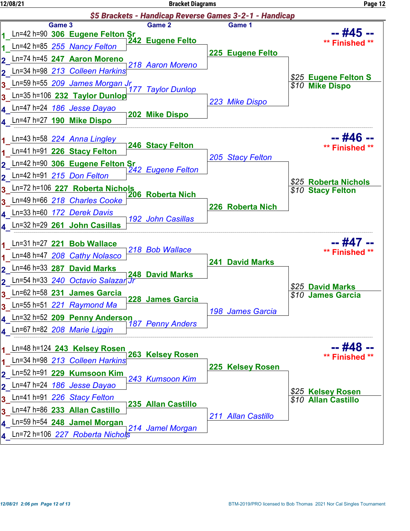